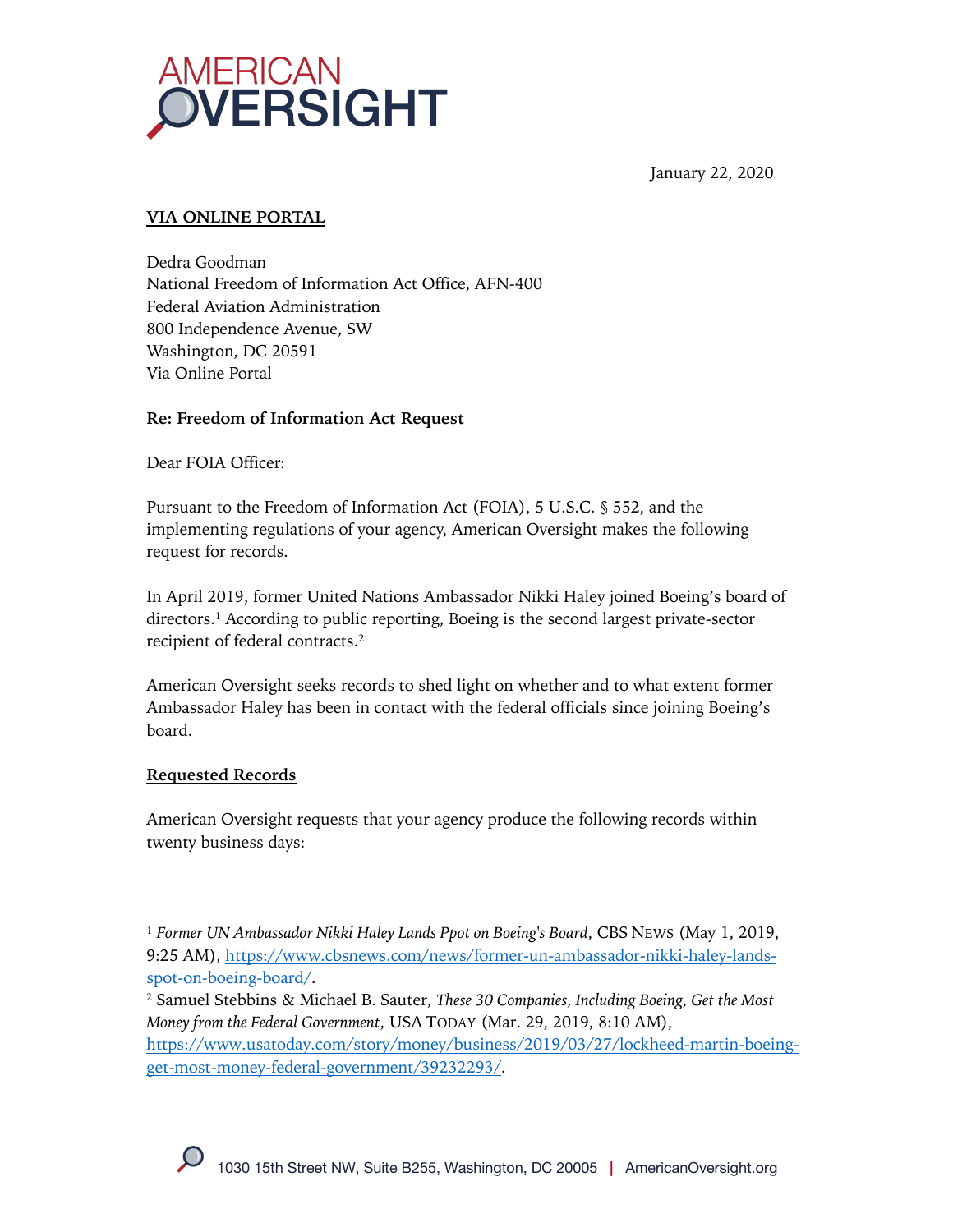

January 22, 2020

# **VIA ONLINE PORTAL**

Dedra Goodman National Freedom of Information Act Office, AFN-400 Federal Aviation Administration 800 Independence Avenue, SW Washington, DC 20591 Via Online Portal

## **Re: Freedom of Information Act Request**

Dear FOIA Officer:

Pursuant to the Freedom of Information Act (FOIA), 5 U.S.C. § 552, and the implementing regulations of your agency, American Oversight makes the following request for records.

In April 2019, former United Nations Ambassador Nikki Haley joined Boeing's board of directors.1 According to public reporting, Boeing is the second largest private-sector recipient of federal contracts.2

American Oversight seeks records to shed light on whether and to what extent former Ambassador Haley has been in contact with the federal officials since joining Boeing's board.

### **Requested Records**

American Oversight requests that your agency produce the following records within twenty business days:

<sup>1</sup> *Former UN Ambassador Nikki Haley Lands Ppot on Boeing's Board*, CBS NEWS (May 1, 2019, 9:25 AM), https://www.cbsnews.com/news/former-un-ambassador-nikki-haley-landsspot-on-boeing-board/.

<sup>2</sup> Samuel Stebbins & Michael B. Sauter, *These 30 Companies, Including Boeing, Get the Most Money from the Federal Government*, USA TODAY (Mar. 29, 2019, 8:10 AM), https://www.usatoday.com/story/money/business/2019/03/27/lockheed-martin-boeingget-most-money-federal-government/39232293/.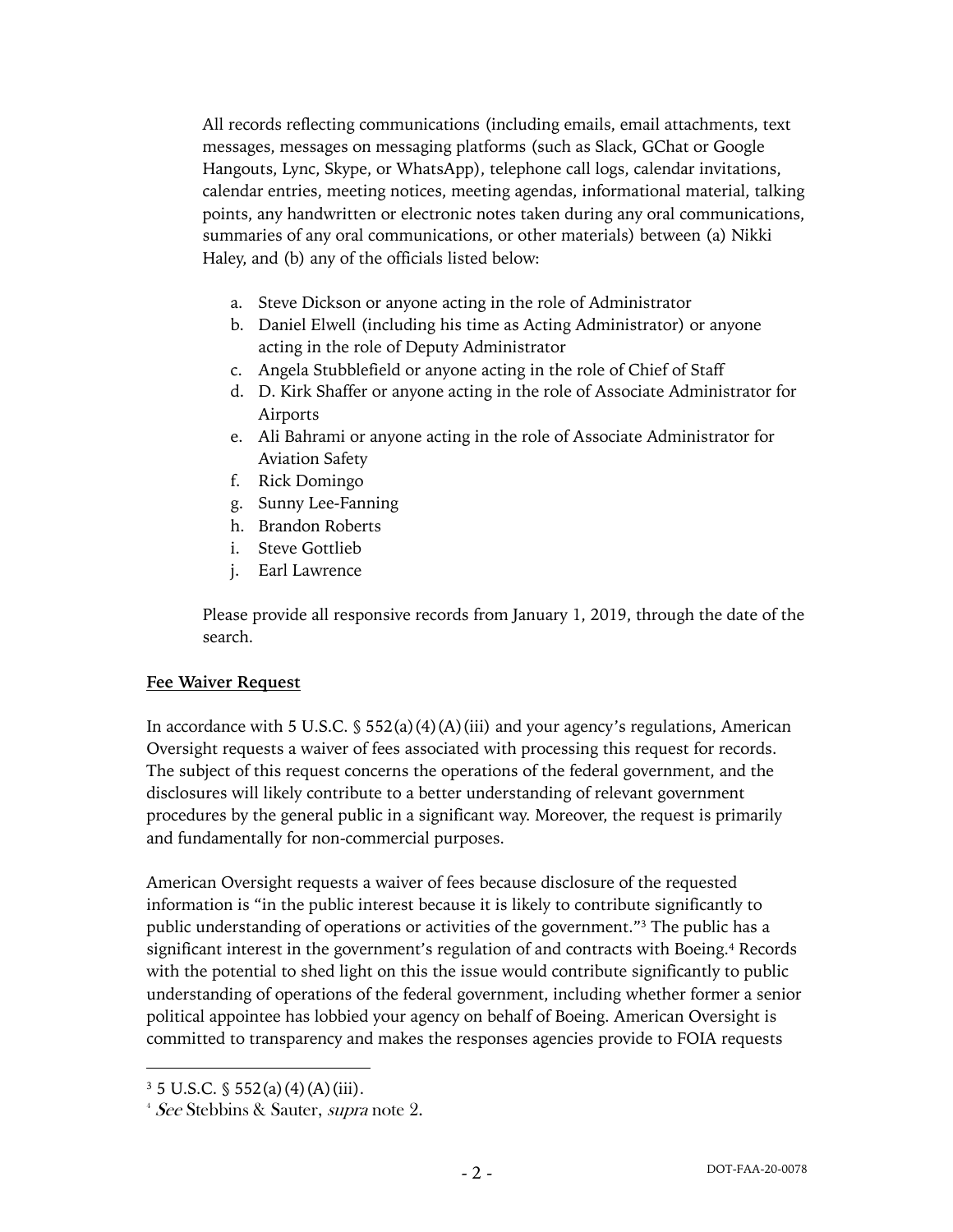All records reflecting communications (including emails, email attachments, text messages, messages on messaging platforms (such as Slack, GChat or Google Hangouts, Lync, Skype, or WhatsApp), telephone call logs, calendar invitations, calendar entries, meeting notices, meeting agendas, informational material, talking points, any handwritten or electronic notes taken during any oral communications, summaries of any oral communications, or other materials) between (a) Nikki Haley, and (b) any of the officials listed below:

- a. Steve Dickson or anyone acting in the role of Administrator
- b. Daniel Elwell (including his time as Acting Administrator) or anyone acting in the role of Deputy Administrator
- c. Angela Stubblefield or anyone acting in the role of Chief of Staff
- d. D. Kirk Shaffer or anyone acting in the role of Associate Administrator for Airports
- e. Ali Bahrami or anyone acting in the role of Associate Administrator for Aviation Safety
- f. Rick Domingo
- g. Sunny Lee-Fanning
- h. Brandon Roberts
- i. Steve Gottlieb
- j. Earl Lawrence

Please provide all responsive records from January 1, 2019, through the date of the search.

#### **Fee Waiver Request**

In accordance with 5 U.S.C.  $\frac{1}{5}$  552(a)(4)(A)(iii) and your agency's regulations, American Oversight requests a waiver of fees associated with processing this request for records. The subject of this request concerns the operations of the federal government, and the disclosures will likely contribute to a better understanding of relevant government procedures by the general public in a significant way. Moreover, the request is primarily and fundamentally for non-commercial purposes.

American Oversight requests a waiver of fees because disclosure of the requested information is "in the public interest because it is likely to contribute significantly to public understanding of operations or activities of the government."3 The public has a significant interest in the government's regulation of and contracts with Boeing.<sup>4</sup> Records with the potential to shed light on this the issue would contribute significantly to public understanding of operations of the federal government, including whether former a senior political appointee has lobbied your agency on behalf of Boeing. American Oversight is committed to transparency and makes the responses agencies provide to FOIA requests

 $3\,5$  U.S.C.  $\frac{6}{3}$  552(a)(4)(A)(iii).

<sup>&</sup>lt;sup>4</sup> See Stebbins & Sauter, supra note 2.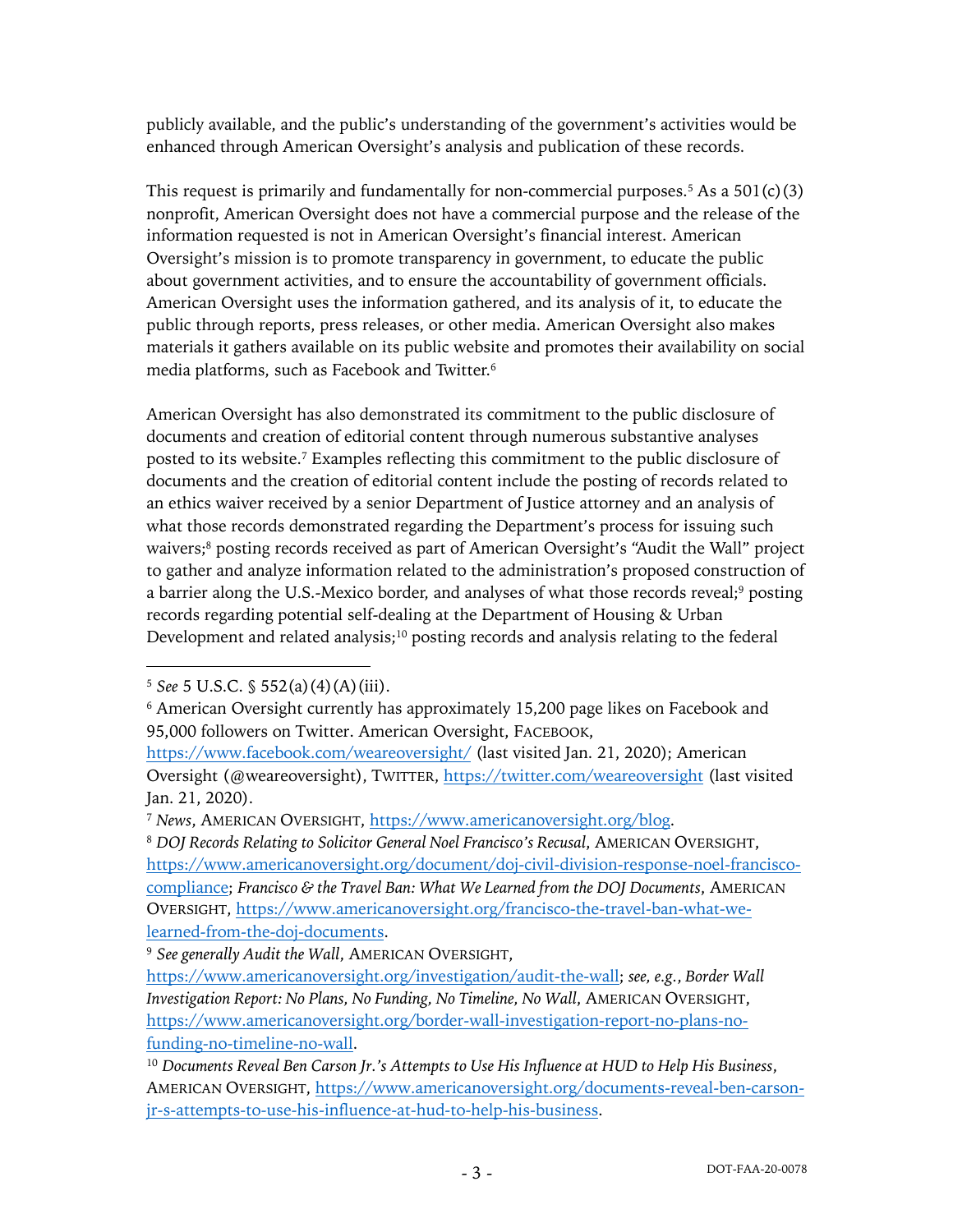publicly available, and the public's understanding of the government's activities would be enhanced through American Oversight's analysis and publication of these records.

This request is primarily and fundamentally for non-commercial purposes.<sup>5</sup> As a  $501(c)(3)$ nonprofit, American Oversight does not have a commercial purpose and the release of the information requested is not in American Oversight's financial interest. American Oversight's mission is to promote transparency in government, to educate the public about government activities, and to ensure the accountability of government officials. American Oversight uses the information gathered, and its analysis of it, to educate the public through reports, press releases, or other media. American Oversight also makes materials it gathers available on its public website and promotes their availability on social media platforms, such as Facebook and Twitter.6

American Oversight has also demonstrated its commitment to the public disclosure of documents and creation of editorial content through numerous substantive analyses posted to its website. <sup>7</sup> Examples reflecting this commitment to the public disclosure of documents and the creation of editorial content include the posting of records related to an ethics waiver received by a senior Department of Justice attorney and an analysis of what those records demonstrated regarding the Department's process for issuing such waivers;<sup>8</sup> posting records received as part of American Oversight's "Audit the Wall" project to gather and analyze information related to the administration's proposed construction of a barrier along the U.S.-Mexico border, and analyses of what those records reveal;9 posting records regarding potential self-dealing at the Department of Housing & Urban Development and related analysis;<sup>10</sup> posting records and analysis relating to the federal

<sup>8</sup> *DOJ Records Relating to Solicitor General Noel Francisco's Recusal*, AMERICAN OVERSIGHT, https://www.americanoversight.org/document/doj-civil-division-response-noel-franciscocompliance; *Francisco & the Travel Ban: What We Learned from the DOJ Documents*, AMERICAN OVERSIGHT, https://www.americanoversight.org/francisco-the-travel-ban-what-welearned-from-the-doj-documents.

<sup>5</sup> *See* 5 U.S.C. § 552(a)(4)(A)(iii).

<sup>&</sup>lt;sup>6</sup> American Oversight currently has approximately 15,200 page likes on Facebook and 95,000 followers on Twitter. American Oversight, FACEBOOK,

https://www.facebook.com/weareoversight/ (last visited Jan. 21, 2020); American Oversight (@weareoversight), TWITTER, https://twitter.com/weareoversight (last visited Jan. 21, 2020).

<sup>7</sup> *News*, AMERICAN OVERSIGHT, https://www.americanoversight.org/blog.

<sup>9</sup> *See generally Audit the Wall*, AMERICAN OVERSIGHT,

https://www.americanoversight.org/investigation/audit-the-wall; *see, e.g.*, *Border Wall Investigation Report: No Plans, No Funding, No Timeline, No Wall*, AMERICAN OVERSIGHT, https://www.americanoversight.org/border-wall-investigation-report-no-plans-nofunding-no-timeline-no-wall.

<sup>10</sup> *Documents Reveal Ben Carson Jr.'s Attempts to Use His Influence at HUD to Help His Business*, AMERICAN OVERSIGHT, https://www.americanoversight.org/documents-reveal-ben-carsonjr-s-attempts-to-use-his-influence-at-hud-to-help-his-business.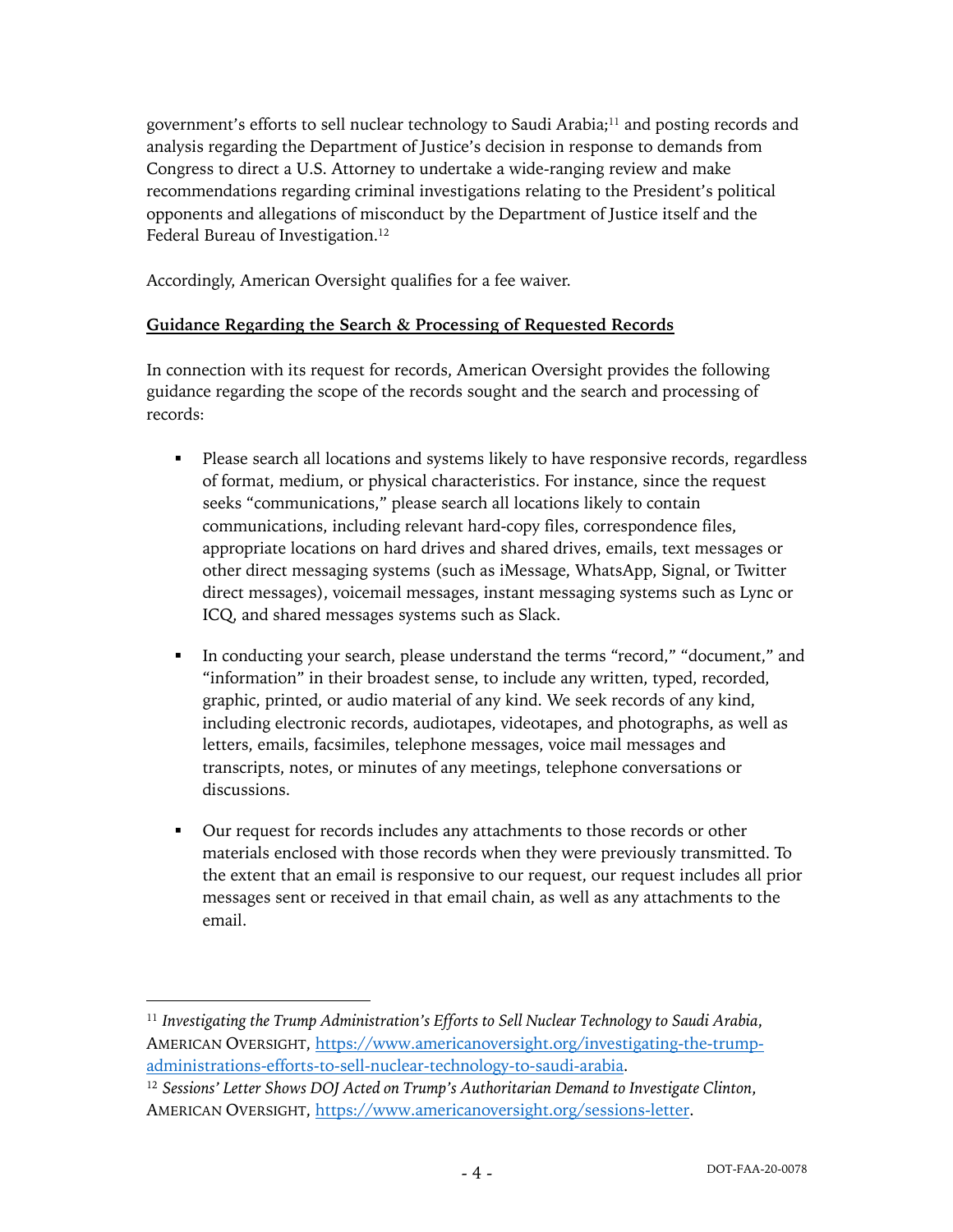government's efforts to sell nuclear technology to Saudi Arabia;11 and posting records and analysis regarding the Department of Justice's decision in response to demands from Congress to direct a U.S. Attorney to undertake a wide-ranging review and make recommendations regarding criminal investigations relating to the President's political opponents and allegations of misconduct by the Department of Justice itself and the Federal Bureau of Investigation.<sup>12</sup>

Accordingly, American Oversight qualifies for a fee waiver.

# **Guidance Regarding the Search & Processing of Requested Records**

In connection with its request for records, American Oversight provides the following guidance regarding the scope of the records sought and the search and processing of records:

- Please search all locations and systems likely to have responsive records, regardless of format, medium, or physical characteristics. For instance, since the request seeks "communications," please search all locations likely to contain communications, including relevant hard-copy files, correspondence files, appropriate locations on hard drives and shared drives, emails, text messages or other direct messaging systems (such as iMessage, WhatsApp, Signal, or Twitter direct messages), voicemail messages, instant messaging systems such as Lync or ICQ, and shared messages systems such as Slack.
- § In conducting your search, please understand the terms "record," "document," and "information" in their broadest sense, to include any written, typed, recorded, graphic, printed, or audio material of any kind. We seek records of any kind, including electronic records, audiotapes, videotapes, and photographs, as well as letters, emails, facsimiles, telephone messages, voice mail messages and transcripts, notes, or minutes of any meetings, telephone conversations or discussions.
- Our request for records includes any attachments to those records or other materials enclosed with those records when they were previously transmitted. To the extent that an email is responsive to our request, our request includes all prior messages sent or received in that email chain, as well as any attachments to the email.

<sup>11</sup> *Investigating the Trump Administration's Efforts to Sell Nuclear Technology to Saudi Arabia*, AMERICAN OVERSIGHT, https://www.americanoversight.org/investigating-the-trumpadministrations-efforts-to-sell-nuclear-technology-to-saudi-arabia.

<sup>12</sup> *Sessions' Letter Shows DOJ Acted on Trump's Authoritarian Demand to Investigate Clinton*, AMERICAN OVERSIGHT, https://www.americanoversight.org/sessions-letter.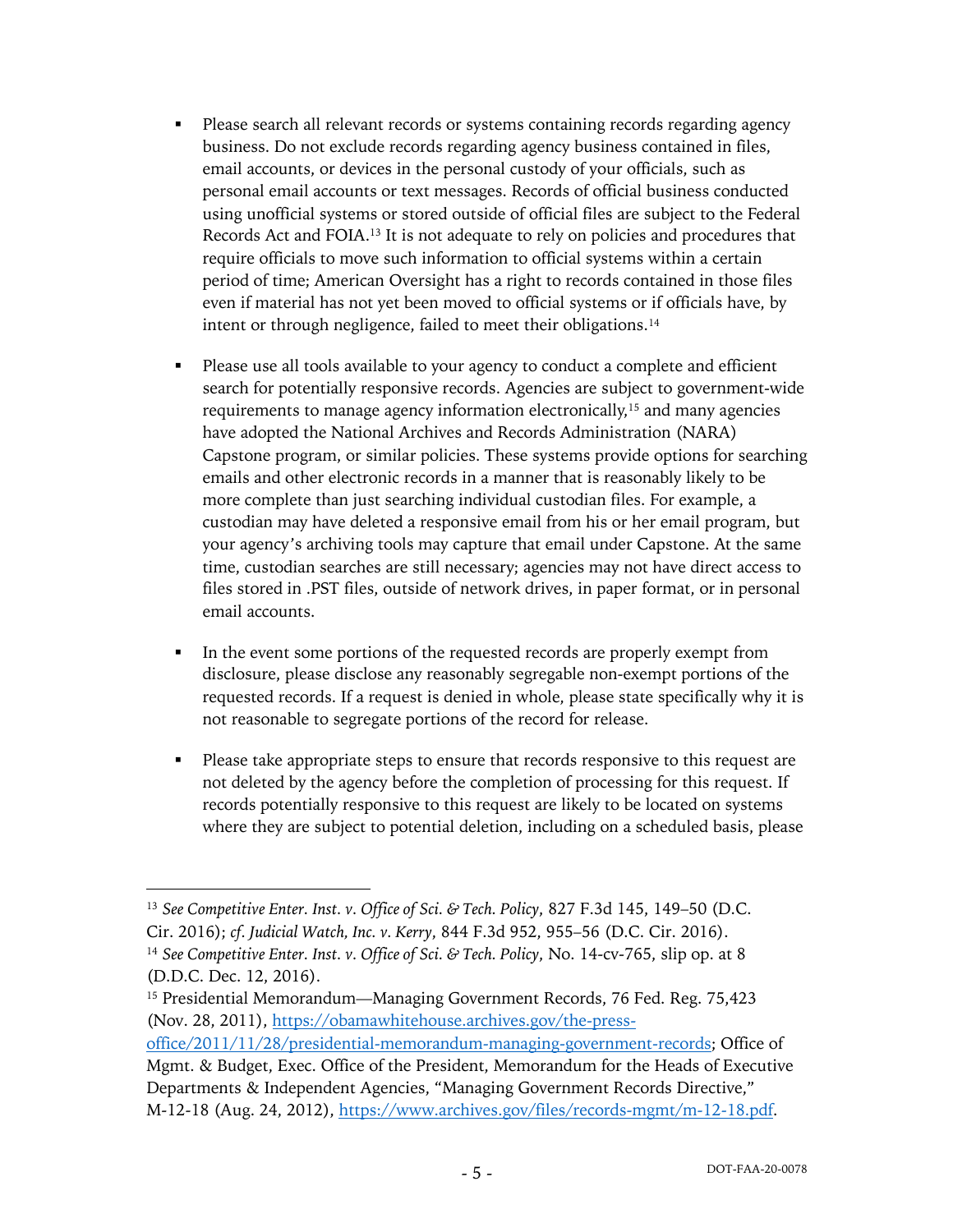- Please search all relevant records or systems containing records regarding agency business. Do not exclude records regarding agency business contained in files, email accounts, or devices in the personal custody of your officials, such as personal email accounts or text messages. Records of official business conducted using unofficial systems or stored outside of official files are subject to the Federal Records Act and FOIA.13 It is not adequate to rely on policies and procedures that require officials to move such information to official systems within a certain period of time; American Oversight has a right to records contained in those files even if material has not yet been moved to official systems or if officials have, by intent or through negligence, failed to meet their obligations.<sup>14</sup>
- Please use all tools available to your agency to conduct a complete and efficient search for potentially responsive records. Agencies are subject to government-wide requirements to manage agency information electronically,<sup>15</sup> and many agencies have adopted the National Archives and Records Administration (NARA) Capstone program, or similar policies. These systems provide options for searching emails and other electronic records in a manner that is reasonably likely to be more complete than just searching individual custodian files. For example, a custodian may have deleted a responsive email from his or her email program, but your agency's archiving tools may capture that email under Capstone. At the same time, custodian searches are still necessary; agencies may not have direct access to files stored in .PST files, outside of network drives, in paper format, or in personal email accounts.
- In the event some portions of the requested records are properly exempt from disclosure, please disclose any reasonably segregable non-exempt portions of the requested records. If a request is denied in whole, please state specifically why it is not reasonable to segregate portions of the record for release.
- Please take appropriate steps to ensure that records responsive to this request are not deleted by the agency before the completion of processing for this request. If records potentially responsive to this request are likely to be located on systems where they are subject to potential deletion, including on a scheduled basis, please

<sup>13</sup> *See Competitive Enter. Inst. v. Office of Sci. & Tech. Policy*, 827 F.3d 145, 149–50 (D.C. Cir. 2016); *cf. Judicial Watch, Inc. v. Kerry*, 844 F.3d 952, 955–56 (D.C. Cir. 2016). <sup>14</sup> *See Competitive Enter. Inst. v. Office of Sci. & Tech. Policy*, No. 14-cv-765, slip op. at 8 (D.D.C. Dec. 12, 2016).

<sup>15</sup> Presidential Memorandum—Managing Government Records, 76 Fed. Reg. 75,423 (Nov. 28, 2011), https://obamawhitehouse.archives.gov/the-press-

office/2011/11/28/presidential-memorandum-managing-government-records; Office of Mgmt. & Budget, Exec. Office of the President, Memorandum for the Heads of Executive Departments & Independent Agencies, "Managing Government Records Directive," M-12-18 (Aug. 24, 2012), https://www.archives.gov/files/records-mgmt/m-12-18.pdf.